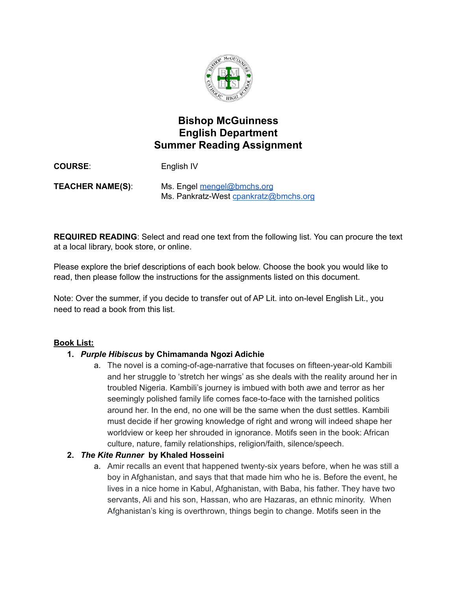

# **Bishop McGuinness English Department Summer Reading Assignment**

**COURSE**: English IV **TEACHER NAME(S)**: Ms. Engel [mengel@bmchs.org](mailto:mengel@bmchs.org) Ms. Pankratz-West [cpankratz@bmchs.org](mailto:cpankratz@bmchs.org)

**REQUIRED READING**: Select and read one text from the following list. You can procure the text at a local library, book store, or online.

Please explore the brief descriptions of each book below. Choose the book you would like to read, then please follow the instructions for the assignments listed on this document.

Note: Over the summer, if you decide to transfer out of AP Lit. into on-level English Lit., you need to read a book from this list.

# **Book List:**

## **1.** *Purple Hibiscus* **by Chimamanda Ngozi Adichie**

a. The novel is a coming-of-age-narrative that focuses on fifteen-year-old Kambili and her struggle to 'stretch her wings' as she deals with the reality around her in troubled Nigeria. Kambili's journey is imbued with both awe and terror as her seemingly polished family life comes face-to-face with the tarnished politics around her. In the end, no one will be the same when the dust settles. Kambili must decide if her growing knowledge of right and wrong will indeed shape her worldview or keep her shrouded in ignorance. Motifs seen in the book: African culture, nature, family relationships, religion/faith, silence/speech.

## **2.** *The Kite Runner* **by Khaled Hosseini**

a. Amir recalls an event that happened twenty-six years before, when he was still a boy in Afghanistan, and says that that made him who he is. Before the event, he lives in a nice home in Kabul, Afghanistan, with Baba, his father. They have two servants, Ali and his son, Hassan, who are Hazaras, an ethnic minority. When Afghanistan's king is overthrown, things begin to change. Motifs seen in the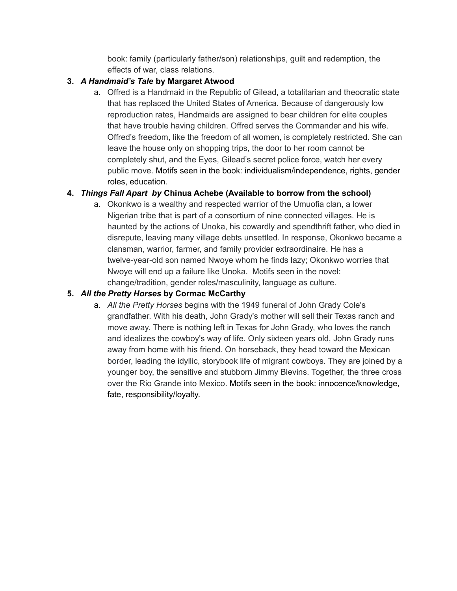book: family (particularly father/son) relationships, guilt and redemption, the effects of war, class relations.

# **3.** *A Handmaid's Tale* **by Margaret Atwood**

a. Offred is a Handmaid in the Republic of Gilead, a totalitarian and theocratic state that has replaced the United States of America. Because of dangerously low reproduction rates, Handmaids are assigned to bear children for elite couples that have trouble having children. Offred serves the Commander and his wife. Offred's freedom, like the freedom of all women, is completely restricted. She can leave the house only on shopping trips, the door to her room cannot be completely shut, and the Eyes, Gilead's secret police force, watch her every public move. Motifs seen in the book: individualism/independence, rights, gender roles, education.

# **4.** *Things Fall Apart by* **Chinua Achebe (Available to borrow from the school)**

a. Okonkwo is a wealthy and respected warrior of the Umuofia clan, a lower Nigerian tribe that is part of a consortium of nine connected villages. He is haunted by the actions of Unoka, his cowardly and spendthrift father, who died in disrepute, leaving many village debts unsettled. In response, Okonkwo became a clansman, warrior, farmer, and family provider extraordinaire. He has a twelve-year-old son named Nwoye whom he finds lazy; Okonkwo worries that Nwoye will end up a failure like Unoka. Motifs seen in the novel: change/tradition, gender roles/masculinity, language as culture.

# **5.** *All the Pretty Horses* **by Cormac McCarthy**

a. *All the Pretty Horses* begins with the 1949 funeral of John Grady Cole's grandfather. With his death, John Grady's mother will sell their Texas ranch and move away. There is nothing left in Texas for John Grady, who loves the ranch and idealizes the cowboy's way of life. Only sixteen years old, John Grady runs away from home with his friend. On horseback, they head toward the Mexican border, leading the idyllic, storybook life of migrant cowboys. They are joined by a younger boy, the sensitive and stubborn Jimmy Blevins. Together, the three cross over the Rio Grande into Mexico. Motifs seen in the book: innocence/knowledge, fate, responsibility/loyalty.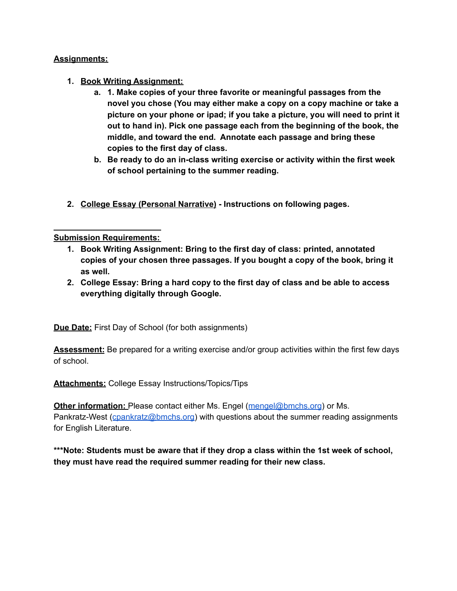#### **Assignments:**

- **1. Book Writing Assignment:**
	- **a. 1. Make copies of your three favorite or meaningful passages from the novel you chose (You may either make a copy on a copy machine or take a picture on your phone or ipad; if you take a picture, you will need to print it out to hand in). Pick one passage each from the beginning of the book, the middle, and toward the end. Annotate each passage and bring these copies to the first day of class.**
	- **b. Be ready to do an in-class writing exercise or activity within the first week of school pertaining to the summer reading.**
- **2. College Essay (Personal Narrative) - Instructions on following pages.**

#### **Submission Requirements:**

- **1. Book Writing Assignment: Bring to the first day of class: printed, annotated copies of your chosen three passages. If you bought a copy of the book, bring it as well.**
- **2. College Essay: Bring a hard copy to the first day of class and be able to access everything digitally through Google.**

**Due Date:** First Day of School (for both assignments)

**Assessment:** Be prepared for a writing exercise and/or group activities within the first few days of school.

**Attachments:** College Essay Instructions/Topics/Tips

**Other information:** Please contact either Ms. Engel ([mengel@bmchs.org](mailto:mengel@bmchs.org)) or Ms. Pankratz-West ([cpankratz@bmchs.org\)](mailto:cpankratz@bmchs.org) with questions about the summer reading assignments for English Literature.

**\*\*\*Note: Students must be aware that if they drop a class within the 1st week of school, they must have read the required summer reading for their new class.**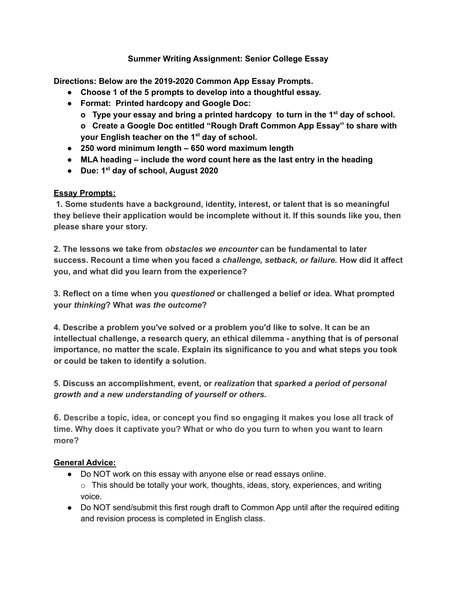## **Summer Writing Assignment: Senior College Essay**

**Directions: Below are the 2019-2020 Common App Essay Prompts.**

- **● Choose 1 of the 5 prompts to develop into a thoughtful essay.**
- **● Format: Printed hardcopy and Google Doc:**
	- **o Type your essay and bring a printed hardcopy to turn in the 1 st day of school. o Create a Google Doc entitled "Rough Draft Common App Essay" to share with your English teacher on the 1 st day of school.**
- **● 250 word minimum length – 650 word maximum length**
- **● MLA heading – include the word count here as the last entry in the heading**
- **● Due: 1 st day of school, August 2020**

## **Essay Prompts:**

**1. Some students have a background, identity, interest, or talent that is so meaningful they believe their application would be incomplete without it. If this sounds like you, then please share your story.**

**2. The lessons we take from** *obstacles we encounter* **can be fundamental to later success. Recount a time when you faced a** *challenge, setback, or failure.* **How did it affect you, and what did you learn from the experience?**

**3. Reflect on a time when you** *questioned* **or challenged a belief or idea. What prompted your** *thinking***? What** *was the outcome***?**

**4. Describe a problem you've solved or a problem you'd like to solve. It can be an intellectual challenge, a research query, an ethical dilemma - anything that is of personal importance, no matter the scale. Explain its significance to you and what steps you took or could be taken to identify a solution.**

**5. Discuss an accomplishment, event, or** *realization* **that** *sparked a period of personal growth and a new understanding of yourself or others.*

**6. Describe a topic, idea, or concept you find so engaging it makes you lose all track of time. Why does it captivate you? What or who do you turn to when you want to learn more?**

## **General Advice:**

- Do NOT work on this essay with anyone else or read essays online.  $\circ$  This should be totally your work, thoughts, ideas, story, experiences, and writing
- voice.
- Do NOT send/submit this first rough draft to Common App until after the required editing and revision process is completed in English class.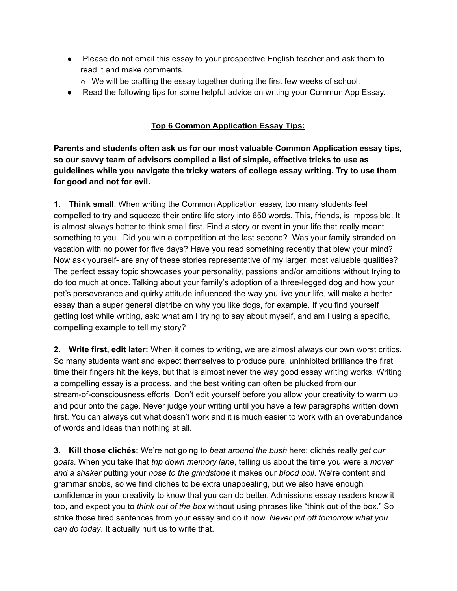- Please do not email this essay to your prospective English teacher and ask them to read it and make comments.
	- $\circ$  We will be crafting the essay together during the first few weeks of school.
- Read the following tips for some helpful advice on writing your Common App Essay.

# **Top 6 Common Application Essay Tips:**

**Parents and students often ask us for our most valuable Common Application essay tips, so our savvy team of advisors compiled a list of simple, effective tricks to use as guidelines while you navigate the tricky waters of college essay writing. Try to use them for good and not for evil.**

**1. Think small**: When writing the Common Application essay, too many students feel compelled to try and squeeze their entire life story into 650 words. This, friends, is impossible. It is almost always better to think small first. Find a story or event in your life that really meant something to you. Did you win a competition at the last second? Was your family stranded on vacation with no power for five days? Have you read something recently that blew your mind? Now ask yourself- are any of these stories representative of my larger, most valuable qualities? The perfect essay topic showcases your personality, passions and/or ambitions without trying to do too much at once. Talking about your family's adoption of a three-legged dog and how your pet's perseverance and quirky attitude influenced the way you live your life, will make a better essay than a super general diatribe on why you like dogs, for example. If you find yourself getting lost while writing, ask: what am I trying to say about myself, and am I using a specific, compelling example to tell my story?

**2. Write first, edit later:** When it comes to writing, we are almost always our own worst critics. So many students want and expect themselves to produce pure, uninhibited brilliance the first time their fingers hit the keys, but that is almost never the way good essay writing works. Writing a compelling essay is a process, and the best writing can often be plucked from our stream-of-consciousness efforts. Don't edit yourself before you allow your creativity to warm up and pour onto the page. Never judge your writing until you have a few paragraphs written down first. You can always cut what doesn't work and it is much easier to work with an overabundance of words and ideas than nothing at all.

**3. Kill those clichés:** We're not going to *beat around the bush* here: clichés really *get our goats*. When you take that *trip down memory lane*, telling us about the time you were a *mover and a shaker* putting your *nose to the grindstone* it makes our *blood boil*. We're content and grammar snobs, so we find clichés to be extra unappealing, but we also have enough confidence in your creativity to know that you can do better. Admissions essay readers know it too, and expect you to *think out of the box* without using phrases like "think out of the box." So strike those tired sentences from your essay and do it now. *Never put off tomorrow what you can do today*. It actually hurt us to write that.